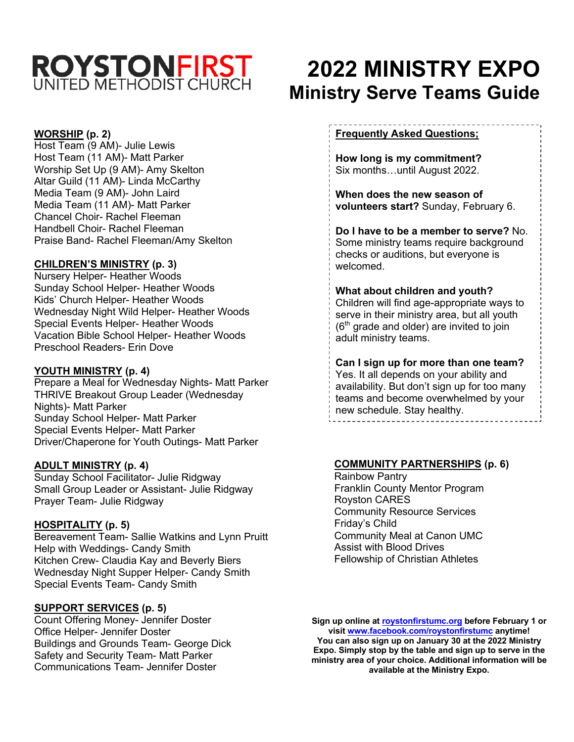# **ROYSTONFIRST**

#### **WORSHIP (p. 2)**

Host Team (9 AM)- Julie Lewis Host Team (11 AM)- Matt Parker Worship Set Up (9 AM)- Amy Skelton Altar Guild (11 AM)- Linda McCarthy Media Team (9 AM)- John Laird Media Team (11 AM)- Matt Parker Chancel Choir- Rachel Fleeman Handbell Choir- Rachel Fleeman Praise Band- Rachel Fleeman/Amy Skelton

#### **CHILDREN'S MINISTRY (p. 3)**

Nursery Helper- Heather Woods Sunday School Helper- Heather Woods Kids' Church Helper- Heather Woods Wednesday Night Wild Helper- Heather Woods Special Events Helper- Heather Woods Vacation Bible School Helper- Heather Woods Preschool Readers- Erin Dove

#### **YOUTH MINISTRY (p. 4)**

Prepare a Meal for Wednesday Nights- Matt Parker THRIVE Breakout Group Leader (Wednesday Nights)- Matt Parker Sunday School Helper- Matt Parker Special Events Helper- Matt Parker Driver/Chaperone for Youth Outings- Matt Parker

#### **ADULT MINISTRY (p. 4)**

Sunday School Facilitator- Julie Ridgway Small Group Leader or Assistant- Julie Ridgway Prayer Team- Julie Ridgway

#### **HOSPITALITY (p. 5)**

Bereavement Team- Sallie Watkins and Lynn Pruitt Help with Weddings- Candy Smith Kitchen Crew- Claudia Kay and Beverly Biers Wednesday Night Supper Helper- Candy Smith Special Events Team- Candy Smith

#### **SUPPORT SERVICES (p. 5)**

Count Offering Money- Jennifer Doster Office Helper- Jennifer Doster Buildings and Grounds Team- George Dick Safety and Security Team- Matt Parker Communications Team- Jennifer Doster

# **2022 MINISTRY EXPO Ministry Serve Teams Guide**

#### **Frequently Asked Questions;**

**How long is my commitment?** Six months…until August 2022.

**When does the new season of volunteers start?** Sunday, February 6.

**Do I have to be a member to serve?** No. Some ministry teams require background checks or auditions, but everyone is welcomed.

# **What about children and youth?**

Children will find age-appropriate ways to serve in their ministry area, but all youth  $(6<sup>th</sup>$  grade and older) are invited to join adult ministry teams.

**Can I sign up for more than one team?** Yes. It all depends on your ability and availability. But don't sign up for too many teams and become overwhelmed by your new schedule. Stay healthy.

#### **COMMUNITY PARTNERSHIPS (p. 6)**

Rainbow Pantry Franklin County Mentor Program Royston CARES Community Resource Services Friday's Child Community Meal at Canon UMC Assist with Blood Drives Fellowship of Christian Athletes

**Sign up online at roystonfirstumc.org before February 1 or visit www.facebook.com/roystonfirstumc anytime! You can also sign up on January 30 at the 2022 Ministry Expo. Simply stop by the table and sign up to serve in the ministry area of your choice. Additional information will be available at the Ministry Expo.**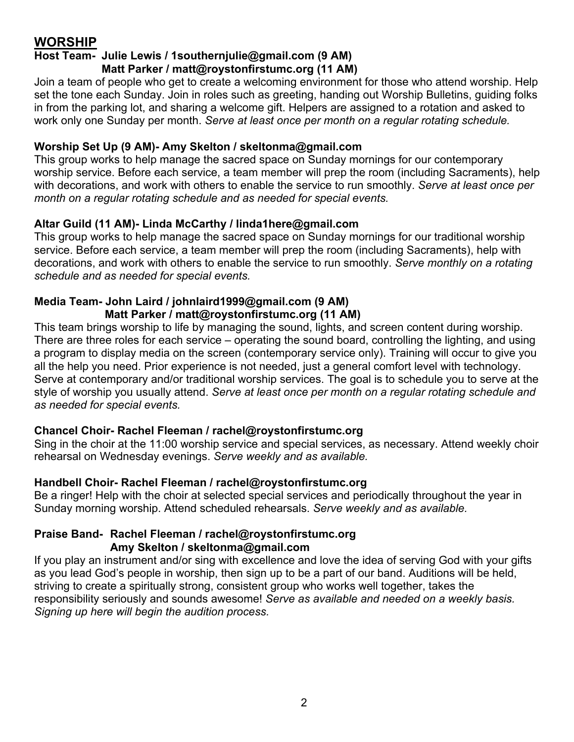# **WORSHIP**

#### **Host Team- Julie Lewis / 1southernjulie@gmail.com (9 AM) Matt Parker / matt@roystonfirstumc.org (11 AM)**

Join a team of people who get to create a welcoming environment for those who attend worship. Help set the tone each Sunday. Join in roles such as greeting, handing out Worship Bulletins, guiding folks in from the parking lot, and sharing a welcome gift. Helpers are assigned to a rotation and asked to work only one Sunday per month. *Serve at least once per month on a regular rotating schedule.*

#### **Worship Set Up (9 AM)- Amy Skelton / skeltonma@gmail.com**

This group works to help manage the sacred space on Sunday mornings for our contemporary worship service. Before each service, a team member will prep the room (including Sacraments), help with decorations, and work with others to enable the service to run smoothly. *Serve at least once per month on a regular rotating schedule and as needed for special events.*

#### **Altar Guild (11 AM)- Linda McCarthy / linda1here@gmail.com**

This group works to help manage the sacred space on Sunday mornings for our traditional worship service. Before each service, a team member will prep the room (including Sacraments), help with decorations, and work with others to enable the service to run smoothly. *Serve monthly on a rotating schedule and as needed for special events.*

#### **Media Team- John Laird / johnlaird1999@gmail.com (9 AM) Matt Parker / matt@roystonfirstumc.org (11 AM)**

This team brings worship to life by managing the sound, lights, and screen content during worship. There are three roles for each service – operating the sound board, controlling the lighting, and using a program to display media on the screen (contemporary service only). Training will occur to give you all the help you need. Prior experience is not needed, just a general comfort level with technology. Serve at contemporary and/or traditional worship services. The goal is to schedule you to serve at the style of worship you usually attend. *Serve at least once per month on a regular rotating schedule and as needed for special events.*

#### **Chancel Choir- Rachel Fleeman / rachel@roystonfirstumc.org**

Sing in the choir at the 11:00 worship service and special services, as necessary. Attend weekly choir rehearsal on Wednesday evenings. *Serve weekly and as available.*

#### **Handbell Choir- Rachel Fleeman / rachel@roystonfirstumc.org**

Be a ringer! Help with the choir at selected special services and periodically throughout the year in Sunday morning worship. Attend scheduled rehearsals. *Serve weekly and as available.*

#### **Praise Band- Rachel Fleeman / rachel@roystonfirstumc.org Amy Skelton / skeltonma@gmail.com**

If you play an instrument and/or sing with excellence and love the idea of serving God with your gifts as you lead God's people in worship, then sign up to be a part of our band. Auditions will be held, striving to create a spiritually strong, consistent group who works well together, takes the responsibility seriously and sounds awesome! *Serve as available and needed on a weekly basis. Signing up here will begin the audition process.*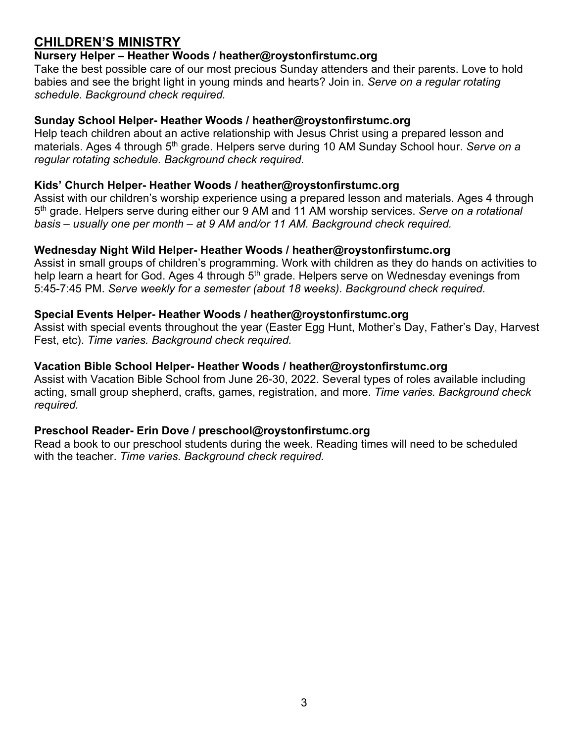# **CHILDREN'S MINISTRY**

#### **Nursery Helper – Heather Woods / heather@roystonfirstumc.org**

Take the best possible care of our most precious Sunday attenders and their parents. Love to hold babies and see the bright light in young minds and hearts? Join in. *Serve on a regular rotating schedule. Background check required.*

#### **Sunday School Helper- Heather Woods / heather@roystonfirstumc.org**

Help teach children about an active relationship with Jesus Christ using a prepared lesson and materials. Ages 4 through 5<sup>th</sup> grade. Helpers serve during 10 AM Sunday School hour. *Serve on a regular rotating schedule. Background check required.*

#### **Kids' Church Helper- Heather Woods / heather@roystonfirstumc.org**

Assist with our children's worship experience using a prepared lesson and materials. Ages 4 through 5th grade. Helpers serve during either our 9 AM and 11 AM worship services. *Serve on a rotational basis – usually one per month – at 9 AM and/or 11 AM. Background check required.*

#### **Wednesday Night Wild Helper- Heather Woods / heather@roystonfirstumc.org**

Assist in small groups of children's programming. Work with children as they do hands on activities to help learn a heart for God. Ages 4 through 5<sup>th</sup> grade. Helpers serve on Wednesday evenings from 5:45-7:45 PM. *Serve weekly for a semester (about 18 weeks). Background check required.*

#### **Special Events Helper- Heather Woods / heather@roystonfirstumc.org**

Assist with special events throughout the year (Easter Egg Hunt, Mother's Day, Father's Day, Harvest Fest, etc). *Time varies. Background check required.*

#### **Vacation Bible School Helper- Heather Woods / heather@roystonfirstumc.org**

Assist with Vacation Bible School from June 26-30, 2022. Several types of roles available including acting, small group shepherd, crafts, games, registration, and more. *Time varies. Background check required.*

#### **Preschool Reader- Erin Dove / preschool@roystonfirstumc.org**

Read a book to our preschool students during the week. Reading times will need to be scheduled with the teacher. *Time varies. Background check required.*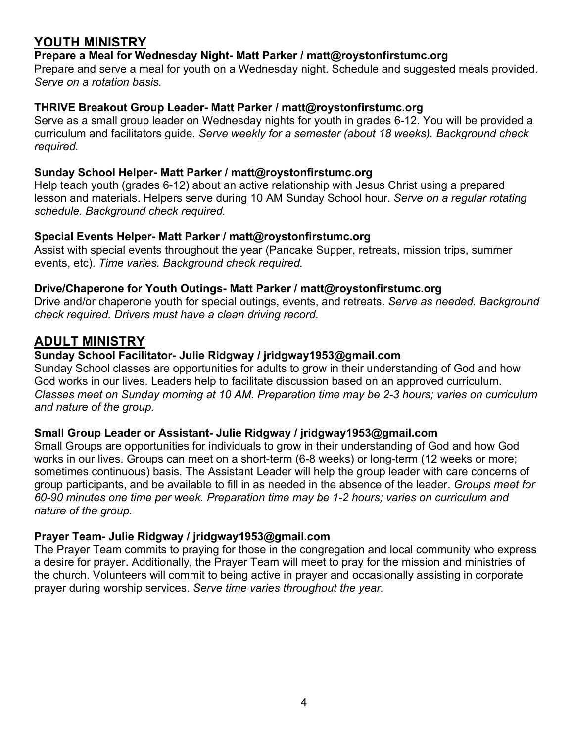# **YOUTH MINISTRY**

#### **Prepare a Meal for Wednesday Night- Matt Parker / matt@roystonfirstumc.org**

Prepare and serve a meal for youth on a Wednesday night. Schedule and suggested meals provided. *Serve on a rotation basis.*

#### **THRIVE Breakout Group Leader- Matt Parker / matt@roystonfirstumc.org**

Serve as a small group leader on Wednesday nights for youth in grades 6-12. You will be provided a curriculum and facilitators guide. *Serve weekly for a semester (about 18 weeks). Background check required.*

#### **Sunday School Helper- Matt Parker / matt@roystonfirstumc.org**

Help teach youth (grades 6-12) about an active relationship with Jesus Christ using a prepared lesson and materials. Helpers serve during 10 AM Sunday School hour. *Serve on a regular rotating schedule. Background check required.*

#### **Special Events Helper- Matt Parker / matt@roystonfirstumc.org**

Assist with special events throughout the year (Pancake Supper, retreats, mission trips, summer events, etc). *Time varies. Background check required.*

#### **Drive/Chaperone for Youth Outings- Matt Parker / matt@roystonfirstumc.org**

Drive and/or chaperone youth for special outings, events, and retreats. *Serve as needed. Background check required. Drivers must have a clean driving record.*

## **ADULT MINISTRY**

#### **Sunday School Facilitator- Julie Ridgway / jridgway1953@gmail.com**

Sunday School classes are opportunities for adults to grow in their understanding of God and how God works in our lives. Leaders help to facilitate discussion based on an approved curriculum. *Classes meet on Sunday morning at 10 AM. Preparation time may be 2-3 hours; varies on curriculum and nature of the group.*

#### **Small Group Leader or Assistant- Julie Ridgway / jridgway1953@gmail.com**

Small Groups are opportunities for individuals to grow in their understanding of God and how God works in our lives. Groups can meet on a short-term (6-8 weeks) or long-term (12 weeks or more; sometimes continuous) basis. The Assistant Leader will help the group leader with care concerns of group participants, and be available to fill in as needed in the absence of the leader. *Groups meet for 60-90 minutes one time per week. Preparation time may be 1-2 hours; varies on curriculum and nature of the group.*

#### **Prayer Team- Julie Ridgway / jridgway1953@gmail.com**

The Prayer Team commits to praying for those in the congregation and local community who express a desire for prayer. Additionally, the Prayer Team will meet to pray for the mission and ministries of the church. Volunteers will commit to being active in prayer and occasionally assisting in corporate prayer during worship services. *Serve time varies throughout the year.*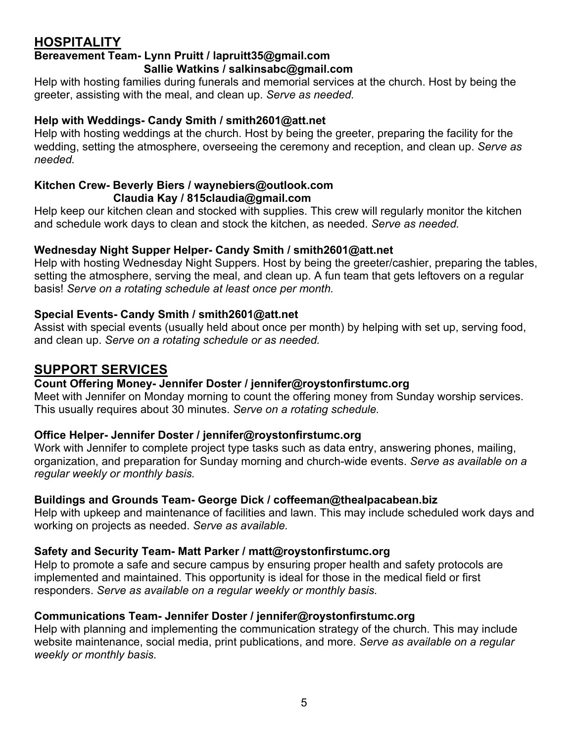# **HOSPITALITY**

#### **Bereavement Team- Lynn Pruitt / lapruitt35@gmail.com Sallie Watkins / salkinsabc@gmail.com**

Help with hosting families during funerals and memorial services at the church. Host by being the greeter, assisting with the meal, and clean up. *Serve as needed.*

#### **Help with Weddings- Candy Smith / smith2601@att.net**

Help with hosting weddings at the church. Host by being the greeter, preparing the facility for the wedding, setting the atmosphere, overseeing the ceremony and reception, and clean up. *Serve as needed.*

#### **Kitchen Crew- Beverly Biers / waynebiers@outlook.com Claudia Kay / 815claudia@gmail.com**

Help keep our kitchen clean and stocked with supplies. This crew will regularly monitor the kitchen and schedule work days to clean and stock the kitchen, as needed. *Serve as needed.*

#### **Wednesday Night Supper Helper- Candy Smith / smith2601@att.net**

Help with hosting Wednesday Night Suppers. Host by being the greeter/cashier, preparing the tables, setting the atmosphere, serving the meal, and clean up. A fun team that gets leftovers on a regular basis! *Serve on a rotating schedule at least once per month.*

#### **Special Events- Candy Smith / smith2601@att.net**

Assist with special events (usually held about once per month) by helping with set up, serving food, and clean up. *Serve on a rotating schedule or as needed.*

### **SUPPORT SERVICES**

#### **Count Offering Money- Jennifer Doster / jennifer@roystonfirstumc.org**

Meet with Jennifer on Monday morning to count the offering money from Sunday worship services. This usually requires about 30 minutes. *Serve on a rotating schedule.*

#### **Office Helper- Jennifer Doster / jennifer@roystonfirstumc.org**

Work with Jennifer to complete project type tasks such as data entry, answering phones, mailing, organization, and preparation for Sunday morning and church-wide events. *Serve as available on a regular weekly or monthly basis.*

#### **Buildings and Grounds Team- George Dick / coffeeman@thealpacabean.biz**

Help with upkeep and maintenance of facilities and lawn. This may include scheduled work days and working on projects as needed. *Serve as available.*

#### **Safety and Security Team- Matt Parker / matt@roystonfirstumc.org**

Help to promote a safe and secure campus by ensuring proper health and safety protocols are implemented and maintained. This opportunity is ideal for those in the medical field or first responders. *Serve as available on a regular weekly or monthly basis.*

#### **Communications Team- Jennifer Doster / jennifer@roystonfirstumc.org**

Help with planning and implementing the communication strategy of the church. This may include website maintenance, social media, print publications, and more. *Serve as available on a regular weekly or monthly basis.*